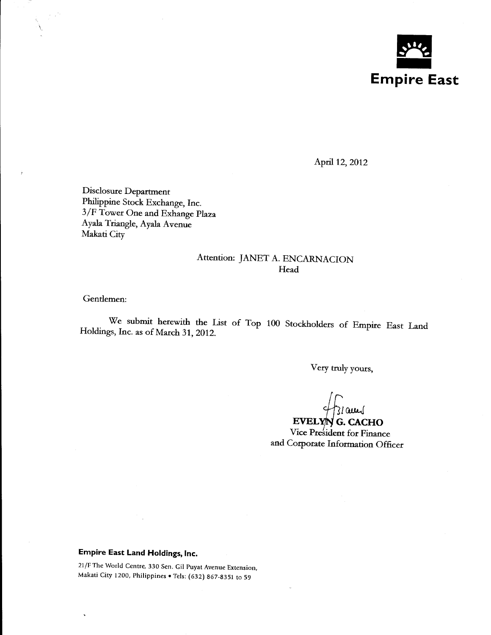

April 12, 2012

Disclosure Department Philippine Stock Exchange, Inc. 3/F Tower One and Exhange Plaza Ayala Triangle, Ayala Avenue Makati City

### Attention: JANET A. ENCARNACION **Head**

Gentlemen:

 $\overline{\mathcal{N}}$ 

We submit herewith the List of Top 100 Stockholders of Empire East Land Holdings, Inc. as of March 31, 2012.

Very truly yours,

31 am

 $EVELYN$  G. CACHO Vice President for Finance and Corporate Information Officer

## **Empire East Land Holdings, Inc.**

21/F The World Centre, 330 Sen. Gil Puyat Avenue Extension, Makati City 1200, Philippines • Tels: (632) 867-8351 to 59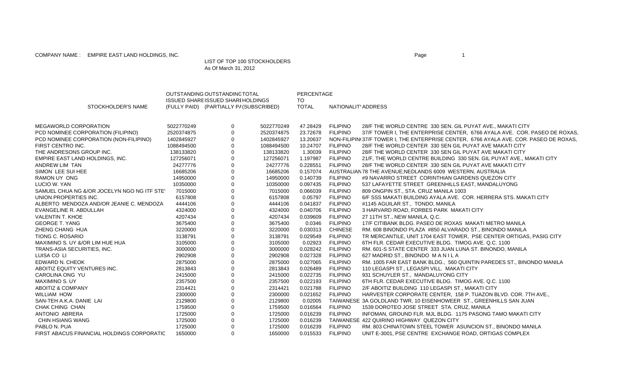COMPANY NAME : EMPIRE EAST LAND HOLDINGS, INC. The state of the state of the state of the state of the state of the state of the state of the state of the state of the state of the state of the state of the state of the st

#### LIST OF TOP 100 STOCKHOLDERS As Of March 31, 2012

|                                             |            | OUTSTANDING OUTSTANDINC TOTAL                                                       |            | PERCENTAGE          |                     |                                                                                       |
|---------------------------------------------|------------|-------------------------------------------------------------------------------------|------------|---------------------|---------------------|---------------------------------------------------------------------------------------|
| STOCKHOLDER'S NAME                          |            | <b>ISSUED SHARE ISSUED SHARI HOLDINGS</b><br>(FULLY PAID) (PARTIALLY PA(SUBSCRIBED) |            | TO.<br><b>TOTAL</b> | NATIONALITY ADDRESS |                                                                                       |
| <b>MEGAWORLD CORPORATION</b>                | 5022770249 | 0                                                                                   | 5022770249 | 47.28429            | <b>FILIPINO</b>     | 28/F THE WORLD CENTRE 330 SEN. GIL PUYAT AVE., MAKATI CITY                            |
| PCD NOMINEE CORPORATION (FILIPINO)          | 2520374875 | $\mathbf 0$                                                                         | 2520374875 | 23.72678            | <b>FILIPINO</b>     | 37/F TOWER I, THE ENTERPRISE CENTER, 6766 AYALA AVE. COR. PASEO DE ROXAS              |
| PCD NOMINEE CORPORATION (NON-FILIPINO)      | 1402845927 | $\mathbf 0$                                                                         | 1402845927 | 13.20637            |                     | NON-FILIPIN(37/F TOWER I, THE ENTERPRISE CENTER, 6766 AYALA AVE. COR. PASEO DE ROXAS. |
| FIRST CENTRO INC.                           | 1088494500 | $\mathbf 0$                                                                         | 1088494500 | 10.24707            | <b>FILIPINO</b>     | 28/F THE WORLD CENTER 330 SEN GIL PUYAT AVE MAKATI CITY                               |
| THE ANDRESONS GROUP INC.                    | 138133820  | $\mathbf 0$                                                                         | 138133820  | 1.30039             | <b>FILIPINO</b>     | 28/F THE WORLD CENTER 330 SEN GIL PUYAT AVE MAKATI CITY                               |
| EMPIRE EAST LAND HOLDINGS, INC.             | 127256071  | $\mathbf 0$                                                                         | 127256071  | 1.197987            | <b>FILIPINO</b>     | 21/F, THE WORLD CENTRE BUILDING 330 SEN. GIL PUYAT AVE., MAKATI CITY                  |
| ANDREW LIM TAN                              | 24277776   | $\mathbf 0$                                                                         | 24277776   | 0.228551            | <b>FILIPINO</b>     | 28/F THE WORLD CENTER 330 SEN GIL PUYAT AVE MAKATI CITY                               |
| SIMON LEE SUI HEE                           | 16685206   | $\mathbf 0$                                                                         | 16685206   | 0.157074            |                     | AUSTRALIAN 78 THE AVENUE: NEDLANDS 6009 WESTERN, AUSTRALIA                            |
| <b>RAMON UY ONG</b>                         | 14950000   | $\mathbf 0$                                                                         | 14950000   | 0.140739            | <b>FILIPINO</b>     | #9 NAVARRO STREET CORINTHIAN GARDENS QUEZON CITY                                      |
| LUCIO W. YAN                                | 10350000   | $\pmb{0}$                                                                           | 10350000   | 0.097435            | <b>FILIPINO</b>     | 537 LAFAYETTE STREET GREENHILLS EAST, MANDALUYONG                                     |
| SAMUEL CHUA NG &/OR JOCELYN NGO NG ITF STE' | 7015000    | $\pmb{0}$                                                                           | 7015000    | 0.066039            | <b>FILIPINO</b>     | 809 ONGPIN ST., STA. CRUZ MANILA 1003                                                 |
| UNION PROPERTIES INC.                       | 6157808    | $\boldsymbol{0}$                                                                    | 6157808    | 0.05797             | <b>FILIPINO</b>     | 6/F SSS MAKATI BUILDING AYALA AVE. COR. HERRERA STS. MAKATI CITY                      |
| ALBERTO MENDOZA AND/OR JEANIE C. MENDOZA    | 4444106    | $\pmb{0}$                                                                           | 4444106    | 0.041837            | <b>FILIPINO</b>     | #1145 AGUILAR ST., TONDO, MANILA                                                      |
| EVANGELINE R. ABDULLAH                      | 4324000    | $\mathbf 0$                                                                         | 4324000    | 0.040706            | <b>FILIPINO</b>     | 3 HARVARD ROAD, FORBES PARK MAKATI CITY                                               |
| <b>VALENTIN T. KHOE</b>                     | 4207434    | $\pmb{0}$                                                                           | 4207434    | 0.039609            | <b>FILIPINO</b>     | 27 11TH ST., NEW MANILA, Q.C.                                                         |
| <b>GEORGE T. YANG</b>                       | 3675400    | $\mathbf 0$                                                                         | 3675400    | 0.0346              | <b>FILIPINO</b>     | 17/F CITIBANK BLDG. PASEO DE ROXAS MAKATI METRO MANILA                                |
| ZHENG CHANG HUA                             | 3220000    | $\pmb{0}$                                                                           | 3220000    | 0.030313            | <b>CHINESE</b>      | RM. 608 BINONDO PLAZA #850 ALVARADO ST., BINONDO MANILA                               |
| <b>TIONG C. ROSARIO</b>                     | 3138791    | $\mathbf 0$                                                                         | 3138791    | 0.029549            | <b>FILIPINO</b>     | TR MERCANTILE, UNIT 1704 EAST TOWER, PSE CENTER ORTIGAS, PASIG CITY                   |
| MAXIMINO S. UY &/OR LIM HUE HUA             | 3105000    | $\pmb{0}$                                                                           | 3105000    | 0.02923             | <b>FILIPINO</b>     | 6TH FLR. CEDAR EXECUTIVE BLDG. TIMOG AVE. Q.C. 1100                                   |
| TRANS-ASIA SECURITIES, INC.                 | 3000000    | $\pmb{0}$                                                                           | 3000000    | 0.028242            | <b>FILIPINO</b>     | RM. 601-S STATE CENTER 333 JUAN LUNA ST. BINONDO, MANILA                              |
| LUISA CO LI                                 | 2902908    | $\pmb{0}$                                                                           | 2902908    | 0.027328            | <b>FILIPINO</b>     | 627 MADRID ST., BINONDO MANILA                                                        |
| EDWARD N. CHEOK                             | 2875000    | $\pmb{0}$                                                                           | 2875000    | 0.027065            | <b>FILIPINO</b>     | RM. 1005 FAR EAST BANK BLDG., 560 QUINTIN PAREDES ST., BINONDO MANILA                 |
| ABOITIZ EQUITY VENTURES INC.                | 2813843    | $\pmb{0}$                                                                           | 2813843    | 0.026489            | <b>FILIPINO</b>     | 110 LEGASPI ST., LEGASPI VILL. MAKATI CITY                                            |
| CAROLINA ONG YU                             | 2415000    | $\pmb{0}$                                                                           | 2415000    | 0.022735            | <b>FILIPINO</b>     | 931 SCHUYLER ST., MANDALUYONG CITY                                                    |
| <b>MAXIMINO S. UY</b>                       | 2357500    | $\mathbf 0$                                                                         | 2357500    | 0.022193            | <b>FILIPINO</b>     | 6TH FLR. CEDAR EXECUTIVE BLDG. TIMOG AVE. Q.C. 1100                                   |
| <b>ABOITIZ &amp; COMPANY</b>                | 2314421    | $\pmb{0}$                                                                           | 2314421    | 0.021788            | <b>FILIPINO</b>     | 2/F ABOITIZ BUILDING 110 LEGASPI ST., MAKATI CITY                                     |
| <b>WILLIAM HOW</b>                          | 2300000    | $\mathbf 0$                                                                         | 2300000    | 0.021652            | <b>FILIPINO</b>     | HARVESTER CORPORATE CENTER, 158 P. TUAZON BLVD. COR. 7TH AVE.,                        |
| SAN-TEH A.K.A. DANIE LAI                    | 2129800    | $\pmb{0}$                                                                           | 2129800    | 0.02005             |                     | TAIWANESE 3A GOLDLAND TWR, 10 EISENHOWEER ST., GREENHILLS SAN JUAN                    |
| CHAK CHING CHAN                             | 1759500    | $\mathbf 0$                                                                         | 1759500    | 0.016564            | <b>FILIPINO</b>     | 1539 DOROTEO JOSE STREET STA. CRUZ, MANILA                                            |
| ANTONIO ABRERA                              | 1725000    | $\mathbf 0$                                                                         | 1725000    | 0.016239            | <b>FILIPINO</b>     | INFOMAN, GROUND FLR. MJL BLDG. 1175 PASONG TAMO MAKATI CITY                           |
| <b>CHIN HSIANG WANG</b>                     | 1725000    | $\mathbf 0$                                                                         | 1725000    | 0.016239            |                     | TAIWANESE 422 QUIRINO HIGHWAY QUEZON CITY                                             |
| PABLO N. PUA                                | 1725000    | $\mathbf 0$                                                                         | 1725000    | 0.016239            | <b>FILIPINO</b>     | RM. 803 CHINATOWN STEEL TOWER ASUNCION ST., BINONDO MANILA                            |

FIRST ABACUS FINANCIAL HOLDINGS CORPORATIC 1650000 0 1650000 0.015533 FILIPINO UNIT E-3001, PSE CENTRE EXCHANGE ROAD, ORTIGAS COMPLEX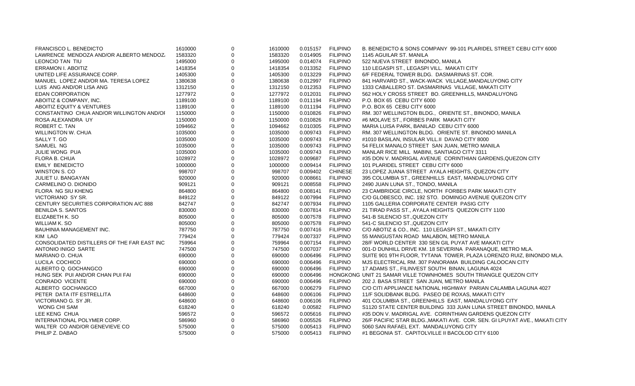| FRANCISCO L. BENEDICTO                      | 1610000 | $\mathbf 0$ | 1610000 | 0.015157 | <b>FILIPINO</b> | B. BENEDICTO & SONS COMPANY 99-101 PLARIDEL STREET CEBU CITY 6000          |
|---------------------------------------------|---------|-------------|---------|----------|-----------------|----------------------------------------------------------------------------|
| LAWRENCE MENDOZA AND/OR ALBERTO MENDOZ.     | 1583320 | $\Omega$    | 1583320 | 0.014905 | <b>FILIPINO</b> | 1145 AGUILAR ST. MANILA                                                    |
| LEONCIO TAN TIU                             | 1495000 | $\mathbf 0$ | 1495000 | 0.014074 | <b>FILIPINO</b> | 522 NUEVA STREET BINONDO, MANILA                                           |
| <b>ERRAMON I. ABOITIZ</b>                   | 1418354 | $\mathbf 0$ | 1418354 | 0.013352 | <b>FILIPINO</b> | 110 LEGASPI ST., LEGASPI VILL. MAKATI CITY                                 |
| UNITED LIFE ASSURANCE CORP.                 | 1405300 | $\Omega$    | 1405300 | 0.013229 | <b>FILIPINO</b> | 6/F FEDERAL TOWER BLDG. DASMARINAS ST. COR.                                |
| MANUEL LOPEZ AND/OR MA. TERESA LOPEZ        | 1380638 | $\mathbf 0$ | 1380638 | 0.012997 | <b>FILIPINO</b> | 841 HARVARD ST., WACK-WACK VILLAGE, MANDALUYONG CITY                       |
| LUIS ANG AND/OR LISA ANG                    | 1312150 | $\mathbf 0$ | 1312150 | 0.012353 | <b>FILIPINO</b> | 1333 CABALLERO ST. DASMARINAS VILLAGE, MAKATI CITY                         |
| <b>EDAN CORPORATION</b>                     | 1277972 | $\mathbf 0$ | 1277972 | 0.012031 | <b>FILIPINO</b> | 562 HOLY CROSS STREET BO. GREENHILLS, MANDALUYONG                          |
| ABOITIZ & COMPANY, INC.                     | 1189100 | $\mathbf 0$ | 1189100 | 0.011194 | <b>FILIPINO</b> | P.O. BOX 65 CEBU CITY 6000                                                 |
| ABOITIZ EQUITY & VENTURES                   | 1189100 | $\mathbf 0$ | 1189100 | 0.011194 | <b>FILIPINO</b> | P.O. BOX 65 CEBU CITY 6000                                                 |
| CONSTANTINO CHUA AND/OR WILLINGTON AND/OI   | 1150000 | $\mathbf 0$ | 1150000 | 0.010826 | <b>FILIPINO</b> | RM. 307 WELLINGTON BLDG., ORIENTE ST., BINONDO, MANILA                     |
| ROSA ALEXANDRA UY                           | 1150000 | $\mathbf 0$ | 1150000 | 0.010826 | <b>FILIPINO</b> | #6 MOLAVE ST., FORBES PARK MAKATI CITY                                     |
| ROBERT C. TAN                               | 1094662 | $\mathbf 0$ | 1094662 | 0.010305 | <b>FILIPINO</b> | MARIA LUISA PARK, BANILAD CEBU CITY 6000                                   |
| <b>WILLINGTON W. CHUA</b>                   | 1035000 | $\mathbf 0$ | 1035000 | 0.009743 | <b>FILIPINO</b> | RM. 307 WELLINGTON BLDG. ORIENTE ST. BINONDO MANILA                        |
| SALLY T. GO                                 | 1035000 | $\mathbf 0$ | 1035000 | 0.009743 | <b>FILIPINO</b> | #1010 BASILAN, INSULAR VILL.II DAVAO CITY 8000                             |
| SAMUEL NG                                   | 1035000 | $\Omega$    | 1035000 | 0.009743 | <b>FILIPINO</b> | 54 FELIX MANALO STREET SAN JUAN, METRO MANILA                              |
| JULIE WONG PUA                              | 1035000 | $\mathbf 0$ | 1035000 | 0.009743 | <b>FILIPINO</b> | MANLAR RICE MILL MABINI, SANTIAGO CITY 3311                                |
| FLORA B. CHUA                               | 1028972 | 0           | 1028972 | 0.009687 | <b>FILIPINO</b> | #35 DON V. MADRIGAL AVENUE CORINTHIAN GARDENS, QUEZON CITY                 |
| <b>EMILY BENEDICTO</b>                      | 1000000 | $\Omega$    | 1000000 | 0.009414 | <b>FILIPINO</b> | 101 PLARIDEL STREET CEBU CITY 6000                                         |
| WINSTON S. CO                               | 998707  | $\Omega$    | 998707  | 0.009402 | <b>CHINESE</b>  | 23 LOPEZ JUANA STREET AYALA HEIGHTS, QUEZON CITY                           |
| JULIET U. BANGAYAN                          | 920000  | $\mathbf 0$ | 920000  | 0.008661 | <b>FILIPINO</b> | 395 COLUMBIA ST., GREENHILLS EAST, MANDALUYONG CITY                        |
| CARMELINO O. DIONIDO                        | 909121  | $\Omega$    | 909121  | 0.008558 | <b>FILIPINO</b> | 2490 JUAN LUNA ST., TONDO, MANILA                                          |
| FLORA NG SIU KHENG                          | 864800  | $\Omega$    | 864800  | 0.008141 | <b>FILIPINO</b> | 23 CAMBRIDGE CIRCLE, NORTH FORBES PARK MAKATI CITY                         |
| VICTORIANO SY SR.                           | 849122  | 0           | 849122  | 0.007994 | <b>FILIPINO</b> | C/O GLOBESCO, INC. 192 STO. DOMINGO AVENUE QUEZON CITY                     |
| CENTURY SECURITIES CORPORATION A/C 888      | 842747  | $\Omega$    | 842747  | 0.007934 | <b>FILIPINO</b> | 1105 GALLERIA CORPORATE CENTER PASIG CITY                                  |
| <b>BENILDA S. SANTOS</b>                    | 830000  | $\Omega$    | 830000  | 0.007814 | <b>FILIPINO</b> | 21 TIRAD PASS ST., AYALA HEIGHTS QUEZON CITY 1100                          |
| ELIZABETH K. SO                             | 805000  | $\mathbf 0$ | 805000  | 0.007578 | <b>FILIPINO</b> | 541-B SILENCIO ST., QUEZON CITY                                            |
| WILLIAM K. SO                               | 805000  | $\mathbf 0$ | 805000  | 0.007578 | <b>FILIPINO</b> | 541-C SILENCIO ST., QUEZON CITY                                            |
| BAUHINIA MANAGEMENT INC.                    | 787750  | $\Omega$    | 787750  | 0.007416 | <b>FILIPINO</b> | C/O ABOTIZ & CO., INC. 110 LEGASPI ST., MAKATI CITY                        |
| KIM LAO                                     | 779424  | $\Omega$    | 779424  | 0.007337 | <b>FILIPINO</b> | 55 MANGUSTAN ROAD MALABON, METRO MANILA                                    |
| CONSOLIDATED DISTILLERS OF THE FAR EAST INC | 759964  | $\mathbf 0$ | 759964  | 0.007154 | <b>FILIPINO</b> | 28/F WORLD CENTER 330 SEN GIL PUYAT AVE MAKATI CITY                        |
| ANTONIO INIGO SARTE                         | 747500  | $\Omega$    | 747500  | 0.007037 | <b>FILIPINO</b> | 001-D DUNHILL DRIVE KM. 18 SEVERINA PARANAQUE, METRO MLA.                  |
| MARIANO O. CHUA                             | 690000  | $\mathbf 0$ | 690000  | 0.006496 | <b>FILIPINO</b> | SUITE 901 9TH FLOOR, TYTANA TOWER, PLAZA LORENZO RUIZ, BINONDO MLA.        |
| LUCILA COCHICO                              | 690000  | $\Omega$    | 690000  | 0.006496 | <b>FILIPINO</b> | MJS ELECTRICAL RM. 307 PANORAMA BUILDING CALOOCAN CITY                     |
| ALBERTO Q. GOCHANGCO                        | 690000  | $\Omega$    | 690000  | 0.006496 | <b>FILIPINO</b> | 17 ADAMS ST., FILINVEST SOUTH BINAN, LAGUNA 4024                           |
| HUNG SEK PUI AND/OR CHAN PUI FAI            | 690000  | $\Omega$    | 690000  | 0.006496 |                 | HONGKONG UNIT 21 SAMAR VILLE TOWNHOMES SOUTH TRIANGLE QUEZON CITY          |
| <b>CONRADO VICENTE</b>                      | 690000  | $\Omega$    | 690000  | 0.006496 | <b>FILIPINO</b> | 202 J. BASA STREET SAN JUAN, METRO MANILA                                  |
| ALBERTO GOCHANGCO                           | 667000  | $\Omega$    | 667000  | 0.006279 | <b>FILIPINO</b> | C/O CITI APPLIANCE NATIONAL HIGHWAY PARIAN CALAMBA LAGUNA 4027             |
| PETER DATA ITF ESTRELLITA                   | 648600  | $\Omega$    | 648600  | 0.006106 | <b>FILIPINO</b> | 11/F SOLIDBANK BLDG. PASEO DE ROXAS, MAKATI CITY                           |
| VICTORIANO G. SY JR.                        | 648600  | $\Omega$    | 648600  | 0.006106 | <b>FILIPINO</b> | 401 COLUMBIA ST., GREENHILLS EAST, MANDALUYONG CITY                        |
| WONG CHI SAM                                | 618240  | $\mathbf 0$ | 618240  | 0.00582  | <b>FILIPINO</b> | S1120 STATE CENTER BUILDING 333 JUAN LUNA STREET BINONDO, MANILA           |
| LEE KENG CHUA                               | 596572  | $\Omega$    | 596572  | 0.005616 | <b>FILIPINO</b> | #35 DON V. MADRIGAL AVE. CORINTHIAN GARDENS QUEZON CITY                    |
| INTERNATIONAL POLYMER CORP.                 | 586960  | $\Omega$    | 586960  | 0.005526 | <b>FILIPINO</b> | 26/F PACIFIC STAR BLDG., MAKATI AVE. COR. SEN. GI LPUYAT AVE., MAKATI CITY |
| WALTER CO AND/OR GENEVIEVE CO               | 575000  | $\Omega$    | 575000  | 0.005413 | <b>FILIPINO</b> | 5060 SAN RAFAEL EXT. MANDALUYONG CITY                                      |
| PHILIP Z. DABAO                             | 575000  | $\Omega$    | 575000  | 0.005413 | <b>FILIPINO</b> | #1 BEGONIA ST. CAPITOLVILLE II BACOLOD CITY 6100                           |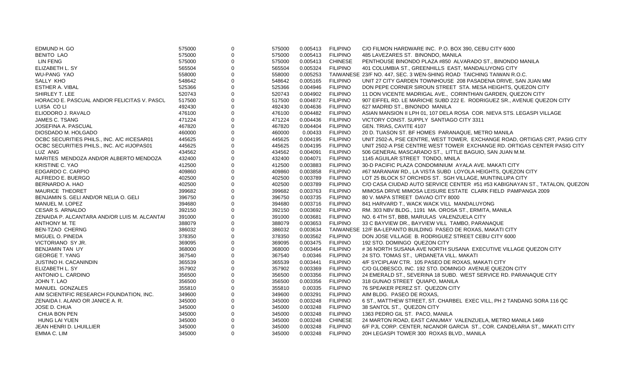| EDMUND H. GO                                 | 575000 | $\Omega$    | 575000 | 0.005413 | <b>FILIPINO</b> | C/O FILMON HARDWARE INC. P.O. BOX 390, CEBU CITY 6000                       |
|----------------------------------------------|--------|-------------|--------|----------|-----------------|-----------------------------------------------------------------------------|
| <b>BENITO LAO</b>                            | 575000 | $\Omega$    | 575000 | 0.005413 | <b>FILIPINO</b> | 485 LAVEZARES ST. BINONDO, MANILA                                           |
| <b>LIN FENG</b>                              | 575000 | $\Omega$    | 575000 | 0.005413 | <b>CHINESE</b>  | PENTHOUSE BINONDO PLAZA #850 ALVARADO ST., BINONDO MANILA                   |
| ELIZABETH L. SY                              | 565504 | $\Omega$    | 565504 | 0.005324 | <b>FILIPINO</b> | 401 COLUMBIA ST., GREENHILLS EAST, MANDALUYONG CITY                         |
| <b>WU-PANG YAO</b>                           | 558000 | $\Omega$    | 558000 | 0.005253 |                 | TAIWANESE 23/F NO. 447, SEC. 3 WEN-SHING ROAD TAICHING TAIWAN R.O.C.        |
| SALLY KHO                                    | 548642 | $\Omega$    | 548642 | 0.005165 | <b>FILIPINO</b> | UNIT 27 CITY GARDEN TOWNHOUSE 208 PASADENA DRIVE, SAN JUAN MM               |
| <b>ESTHER A. VIBAL</b>                       | 525366 |             | 525366 | 0.004946 | <b>FILIPINO</b> | DON PEPE CORNER SIROUN STREET STA. MESA HEIGHTS, QUEZON CITY                |
| SHIRLEY T. LEE                               | 520743 | $\Omega$    | 520743 | 0.004902 | <b>FILIPINO</b> | 11 DON VICENTE MADRIGAL AVE., CORINTHIAN GARDEN, QUEZON CITY                |
| HORACIO E. PASCUAL AND/OR FELICITAS V. PASCL | 517500 | $\Omega$    | 517500 | 0.004872 | <b>FILIPINO</b> | 907 EIFFEL RD. LE MARICHE SUBD 222 E. RODRIGUEZ SR., AVENUE QUEZON CITY     |
| LUISA CO LI                                  | 492430 | $\Omega$    | 492430 | 0.004636 | <b>FILIPINO</b> | 627 MADRID ST., BINONDO MANILA                                              |
| ELIODORO J. RAVALO                           | 476100 | $\Omega$    | 476100 | 0.004482 | <b>FILIPINO</b> | ASIAN MANSION II LPH 01, 107 DELA ROSA COR. NIEVA STS. LEGASPI VILLAGE      |
| JAMES C. TSANG                               | 471224 | $\Omega$    | 471224 | 0.004436 | <b>FILIPINO</b> | VICTORY CONST. SUPPLY SANTIAGO CITY 3311                                    |
| JOSEFINA A. PASCUAL                          | 467820 | $\Omega$    | 467820 | 0.004404 | <b>FILIPINO</b> | GEN. TRIAS, CAVITE 4107                                                     |
| DIOSDADO M. HOLGADO                          | 460000 | $\Omega$    | 460000 | 0.00433  | <b>FILIPINO</b> | 20 D. TUASON ST. BF HOMES PARANAQUE, METRO MANILA                           |
| OCBC SECURITIES PHILS., INC. A/C #ICESAR01   | 445625 | $\mathbf 0$ | 445625 | 0.004195 | <b>FILIPINO</b> | UNIT 2502-A, PSE CENTRE, WEST TOWER, EXCHANGE ROAD, ORTIGAS CRT, PASIG CITY |
| OCBC SECURITIES PHILS., INC. A/C #IJOPAS01   | 445625 | $\Omega$    | 445625 | 0.004195 | <b>FILIPINO</b> | UNIT 2502-A PSE CENTRE WEST TOWER EXCHANGE RD. ORTIGAS CENTER PASIG CITY    |
| LUZ ANG                                      | 434562 | $\Omega$    | 434562 | 0.004091 | <b>FILIPINO</b> | 506 GENERAL MASCARADO ST., LITTLE BAGUIO, SAN JUAN M.M.                     |
| MARITES MENDOZA AND/OR ALBERTO MENDOZA       | 432400 | $\Omega$    | 432400 | 0.004071 | <b>FILIPINO</b> | 1145 AGUILAR STREET TONDO, MNILA                                            |
| KRISTINE C. YAO                              | 412500 | $\Omega$    | 412500 | 0.003883 | <b>FILIPINO</b> | 30-D PACIFIC PLAZA CONDOMINIUM AYALA AVE. MAKATI CITY                       |
| EDGARDO C. CARPIO                            | 409860 | $\Omega$    | 409860 | 0.003858 | <b>FILIPINO</b> | #67 MARANAW RD., LA VISTA SUBD LOYOLA HEIGHTS, QUEZON CITY                  |
| ALFREDO E. BUERGO                            | 402500 | $\mathbf 0$ | 402500 | 0.003789 | <b>FILIPINO</b> | LOT 25 BLOCK 57 ORCHIDS ST. SGH VILLAGE, MUNTINLUPA CITY                    |
| BERNARDO A. HAO                              | 402500 | $\Omega$    | 402500 | 0.003789 | <b>FILIPINO</b> | C/O CASA CIUDAD AUTO SERVICE CENTER #51 #53 KABIGNAYAN ST., TATALON, QUEZON |
| <b>MAURICE THEORET</b>                       | 399682 | $\Omega$    | 399682 | 0.003763 | <b>FILIPINO</b> | MIMOSA DRIVE MIMOSA LEISURE ESTATE CLARK FIELD PAMPANGA 2009                |
| BENJAMIN S. GELI AND/OR NELIA O. GELI        | 396750 | $\mathbf 0$ | 396750 | 0.003735 | <b>FILIPINO</b> | 80 V. MAPA STREET DAVAO CITY 8000                                           |
| MANUEL M. LOPEZ                              | 394680 | $\Omega$    | 394680 | 0.003716 | <b>FILIPINO</b> | 841 HARVARD T., WACK WACK VILL MANDALUYONG                                  |
| <b>CESAR S. ARNALDO</b>                      | 392150 | $\Omega$    | 392150 | 0.003692 | <b>FILIPINO</b> | RM. 303 NBV BLDG., 1191 MA. OROSA ST., ERMITA, MANILA                       |
| ZENAIDA P. ALCANTARA AND/OR LUIS M. ALCANTAI | 391000 | $\mathbf 0$ | 391000 | 0.003681 | <b>FILIPINO</b> | NO. 64TH ST, BBB, MARULAS VALENZUELA CITY                                   |
| ANTHONY M. TE                                | 388079 | $\Omega$    | 388079 | 0.003653 | <b>FILIPINO</b> | 33 C BAYVIEW DR., BAYVIEW VILL TAMBO, PARANAQUE                             |
| <b>BEN-TZAO CHERNG</b>                       | 386032 | $\Omega$    | 386032 | 0.003634 |                 | TAIWANESE 12/F BA-LEPANTO BUILDING PASEO DE ROXAS, MAKATI CITY              |
| MIGUEL O. PINEDA                             | 378350 | $\Omega$    | 378350 | 0.003562 | <b>FILIPINO</b> | DON JOSE VILLAGE B. RODRIGUEZ STREET CEBU CITY 6000                         |
| VICTORIANO SY JR.                            | 369095 | $\Omega$    | 369095 | 0.003475 | <b>FILIPINO</b> | 192 STO. DOMINGO QUEZON CITY                                                |
| <b>BENJAMIN TAN UY</b>                       | 368000 | $\Omega$    | 368000 | 0.003464 | <b>FILIPINO</b> | #36 NORTH SUSANA AVE NORTH SUSANA EXECUTIVE VILLAGE QUEZON CITY             |
| <b>GEORGE T. YANG</b>                        | 367540 | $\Omega$    | 367540 | 0.00346  | <b>FILIPINO</b> | 24 STO. TOMAS ST., URDANETA VILL. MAKATI                                    |
| <b>JUSTINO H. CACANINDIN</b>                 | 365539 |             | 365539 | 0.003441 | <b>FILIPINO</b> | 4/F SYCIPLAW CTR. 105 PASEO DE ROXAS, MAKATI CITY                           |
| ELIZABETH L. SY                              | 357902 | $\Omega$    | 357902 | 0.003369 | <b>FILIPINO</b> | C/O GLOBESCO, INC. 192 STO. DOMINGO AVENUE QUEZON CITY                      |
| ANTONIO L. CARDINO                           | 356500 | $\Omega$    | 356500 | 0.003356 | <b>FILIPINO</b> | 24 EMERALD ST., SEVERINA 18 SUBD. WEST SERVICE RD. PARANAQUE CITY           |
| JOHN T. LAO                                  | 356500 | $\Omega$    | 356500 | 0.003356 | <b>FILIPINO</b> | 318 GUNAO STREET QUIAPO, MANILA                                             |
| MANUEL GONZALES                              | 355810 | $\Omega$    | 355810 | 0.00335  | <b>FILIPINO</b> | 76 SPEAKER PEREZ ST. QUEZON CITY                                            |
| AIM SCIENTIFIC RESEARCH FOUNDATION, INC.     | 349600 | $\Omega$    | 349600 | 0.003291 | <b>FILIPINO</b> | AIM BLDG. PASEO DE ROXAS,                                                   |
| ZENAIDA I. ALANO OR JANICE A. R.             | 345000 | $\Omega$    | 345000 | 0.003248 | <b>FILIPINO</b> | 6 ST., MATTHEW STREET, ST. CHARBEL EXEC VILL, PH 2 TANDANG SORA 116 QC      |
| <b>JOSE D. CHUA</b>                          | 345000 | $\Omega$    | 345000 | 0.003248 | <b>FILIPINO</b> | 38 SANTOL ST., QUEZON CITY                                                  |
| <b>CHUA BON PEN</b>                          | 345000 |             | 345000 | 0.003248 | <b>FILIPINO</b> | 1363 PEDRO GIL ST. PACO, MANILA                                             |
| HUNG LAI YUEN                                | 345000 | $\Omega$    | 345000 | 0.003248 | <b>CHINESE</b>  | 24 MARTON ROAD, EAST CANUMAY VALENZUELA, METRO MANILA 1469                  |
| <b>JEAN HENRI D. LHUILLIER</b>               | 345000 | $\Omega$    | 345000 | 0.003248 | <b>FILIPINO</b> | 6/F PJL CORP. CENTER, NICANOR GARCIA ST., COR. CANDELARIA ST., MAKATI CITY  |
| EMMA C. LIM                                  | 345000 | $\Omega$    | 345000 | 0.003248 | <b>FILIPINO</b> | 20H LEGASPI TOWER 300 ROXAS BLVD., MANILA                                   |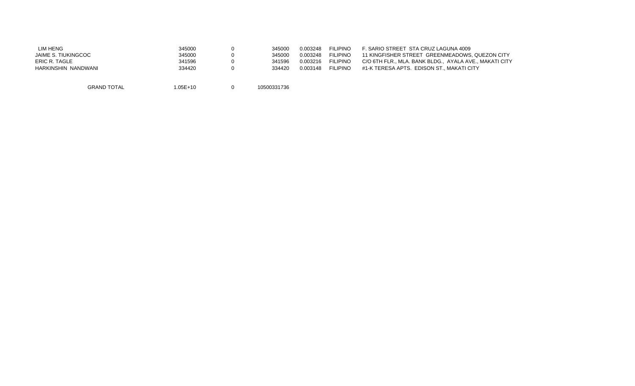| <b>LIM HENG</b>     | 345000   | 345000      | 0.003248 | <b>FILIPINO</b> | F. SARIO STREET STA CRUZ LAGUNA 4009                   |
|---------------------|----------|-------------|----------|-----------------|--------------------------------------------------------|
| JAIME S. TIUKINGCOC | 345000   | 345000      | 0.003248 | <b>FILIPINO</b> | 11 KINGFISHER STREET GREENMEADOWS, QUEZON CITY         |
| ERIC R. TAGLE       | 341596   | 341596      | 0.003216 | <b>FILIPINO</b> | C/O 6TH FLR., MLA, BANK BLDG., AYALA AVE., MAKATI CITY |
| HARKINSHIN NANDWANI | 334420   | 334420      | 0.003148 | <b>FILIPINO</b> | #1-K TERESA APTS. EDISON ST., MAKATI CITY              |
| <b>GRAND TOTAL</b>  | 1.05E+10 | 10500331736 |          |                 |                                                        |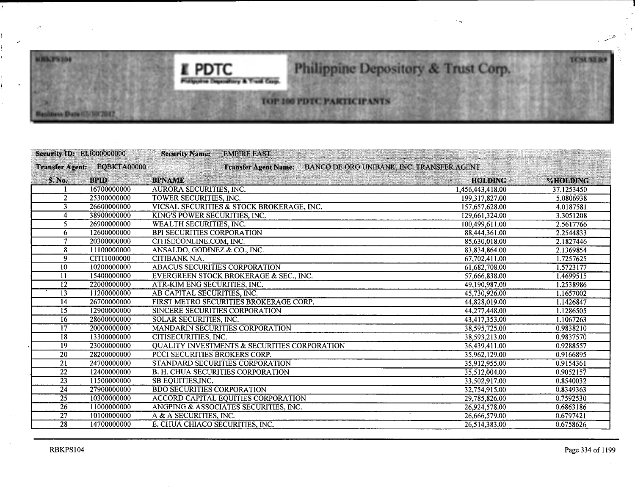

# Philippine Depository & Trust Corp.

# TOP 100 PDTC PARTICIPANTS

| Security ID: ELI000000000 |                             | <b>Security Name:</b><br><b>EMPIRE EAST</b>                              |                  |            |
|---------------------------|-----------------------------|--------------------------------------------------------------------------|------------------|------------|
|                           | Transfer Agent: EQBKTA00000 | BANCO DE ORO UNIBANK, INC. TRANSFER AGENT<br><b>Transfer Agent Name:</b> |                  |            |
| S. No.                    | <b>BPID</b>                 | <b>BPNAME</b>                                                            | <b>HOLDING</b>   | %HOLDING   |
|                           | 16700000000                 | <b>AURORA SECURITIES, INC.</b>                                           | 1,456,443,418.00 | 37.1253450 |
| $\overline{2}$            | 25300000000                 | <b>TOWER SECURITIES, INC.</b>                                            | 199,317,827.00   | 5.0806938  |
| 3                         | 26600000000                 | VICSAL SECURITIES & STOCK BROKERAGE, INC.                                | 157,657,628.00   | 4.0187581  |
| 4                         | 38900000000                 | KING'S POWER SECURITIES, INC.                                            | 129,661,324.00   | 3.3051208  |
| 5.                        | 26900000000                 | <b>WEALTH SECURITIES, INC.</b>                                           | 100,499,611.00   | 2.5617766  |
| 6                         | 12600000000                 | <b>BPI SECURITIES CORPORATION</b>                                        | 88,444,361.00    | 2.2544833  |
|                           | 20300000000                 | CITISECONLINE.COM, INC.                                                  | 85,630,018.00    | 2.1827446  |
| 8                         | 11100000000                 | ANSALDO, GODINEZ & CO., INC.                                             | 83,834,864.00    | 2.1369854  |
| $\overline{9}$            | CITI1000000                 | CITIBANK N.A.                                                            | 67,702,411.00    | 1.7257625  |
| $\overline{10}$           | 10200000000                 | <b>ABACUS SECURITIES CORPORATION</b>                                     | 61,682,708.00    | 1.5723177  |
| 11                        | 15400000000                 | EVERGREEN STOCK BROKERAGE & SEC., INC.                                   | 57,666,838.00    | 1.4699515  |
| $\overline{12}$           | 22000000000                 | ATR-KIM ENG SECURITIES, INC.                                             | 49,190,987.00    | 1.2538986  |
| $\overline{13}$           | 11200000000                 | AB CAPITAL SECURITIES, INC.                                              | 45,730,926.00    | 1.1657002  |
| 14                        | 26700000000                 | FIRST METRO SECURITIES BROKERAGE CORP.                                   | 44,828,019.00    | 1.1426847  |
| 15                        | 12900000000                 | SINCERE SECURITIES CORPORATION                                           | 44,277,448.00    | 1.1286505  |
| 16                        | 28600000000                 | SOLAR SECURITIES, INC.                                                   | 43,417,353.00    | 1.1067263  |
| $\overline{17}$           | 20000000000                 | <b>MANDARIN SECURITIES CORPORATION</b>                                   | 38,595,725.00    | 0.9838210  |
| 18                        | 13300000000                 | <b>CITISECURITIES, INC.</b>                                              | 38,593,213.00    | 0.9837570  |
| 19                        | 23000000000                 | <b>QUALITY INVESTMENTS &amp; SECURITIES CORPORATION</b>                  | 36,439,411.00    | 0.9288557  |
| 20                        | 28200000000                 | PCCI SECURITIES BROKERS CORP.                                            | 35,962,129.00    | 0.9166895  |
| $\overline{21}$           | 24700000000                 | STANDARD SECURITIES CORPORATION                                          | 35,912,955.00    | 0.9154361  |
| $\overline{22}$           | 12400000000                 | <b>B. H. CHUA SECURITIES CORPORATION</b>                                 | 35.512,004.00    | 0.9052157  |
| $\overline{23}$           | 11500000000                 | SB EQUITIES, INC.                                                        | 33,502,917.00    | 0.8540032  |
| $\overline{24}$           | 27900000000                 | <b>BDO SECURITIES CORPORATION</b>                                        | 32,754,915.00    | 0.8349363  |
| 25                        | 10300000000                 | ACCORD CAPITAL EQUITIES CORPORATION                                      | 29,785,826.00    | 0.7592530  |
| 26                        | 11000000000                 | ANGPING & ASSOCIATES SECURITIES, INC.                                    | 26,924,578.00    | 0.6863186  |
| $\overline{27}$           | 10100000000                 | A & A SECURITIES, INC.                                                   | 26,666,579.00    | 0.6797421  |
| 28                        | 14700000000                 | E. CHUA CHIACO SECURITIES, INC.                                          | 26.514,383.00    | 0.6758626  |
|                           |                             |                                                                          |                  |            |

 $\gamma$ 

**MILLYSTOP** 

Andiness Date (C)/NW2012

TCNLNLA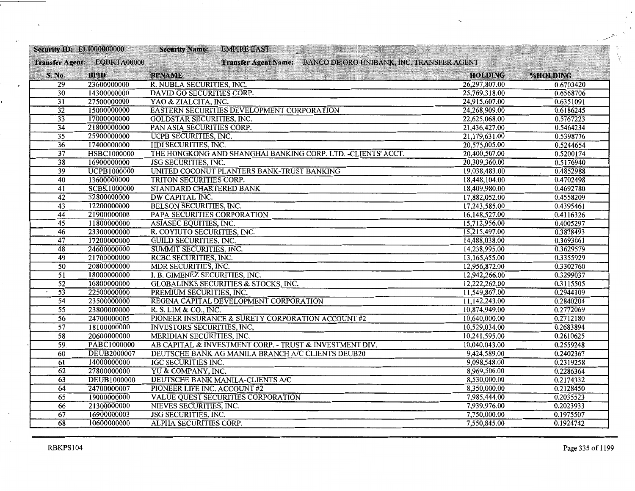| <b>Security ID: EL1000000000</b> |                                                                                               | <b>Security Name:</b><br><b>EMPIRE EAST</b>                                                                                                                                                                                                                               |                                                                                                              |                                                                                                                   |
|----------------------------------|-----------------------------------------------------------------------------------------------|---------------------------------------------------------------------------------------------------------------------------------------------------------------------------------------------------------------------------------------------------------------------------|--------------------------------------------------------------------------------------------------------------|-------------------------------------------------------------------------------------------------------------------|
|                                  | Transfer Agent: EQBKTA00000                                                                   | Transfer Agent Name: BANCO DE ORO UNIBANK, INC. TRANSFER AGENT                                                                                                                                                                                                            |                                                                                                              |                                                                                                                   |
| S. No.                           | <b>BPID</b>                                                                                   | <b>BPNAME</b>                                                                                                                                                                                                                                                             | <b>HOLDING</b>                                                                                               | %HOLDING                                                                                                          |
| 29                               | 23600000000                                                                                   | R. NUBLA SECURITIES, INC.                                                                                                                                                                                                                                                 | 26,297,807.00                                                                                                | 0.6703420                                                                                                         |
| 30                               | 14300000000                                                                                   | DAVID GO SECURITIES CORP.                                                                                                                                                                                                                                                 | 25,769,318.00                                                                                                | 0.6568706                                                                                                         |
| $\overline{31}$                  | 27500000000                                                                                   | YAO & ZIALCITA, INC.                                                                                                                                                                                                                                                      | 24,915,607.00                                                                                                | 0.6351091                                                                                                         |
| $\overline{32}$                  | 15000000000                                                                                   | EASTERN SECURITIES DEVELOPMENT CORPORATION                                                                                                                                                                                                                                | 24,268,909.00                                                                                                | 0.6186245                                                                                                         |
| $\overline{33}$                  | 17000000000                                                                                   | <b>GOLDSTAR SECURITIES, INC.</b>                                                                                                                                                                                                                                          | 22,625,068.00                                                                                                | 0.5767223                                                                                                         |
| $\overline{34}$                  | 21800000000                                                                                   | PAN ASIA SECURITIES CORP.                                                                                                                                                                                                                                                 | 21,436,427.00                                                                                                | 0.5464234                                                                                                         |
| $\overline{35}$                  | 25900000000                                                                                   | <b>UCPB SECURITIES, INC.</b>                                                                                                                                                                                                                                              | 21,179,631.00                                                                                                | 0.5398776                                                                                                         |
| $\overline{36}$                  | 17400000000                                                                                   | HDI SECURITIES, INC.                                                                                                                                                                                                                                                      | 20,575,005.00                                                                                                | 0.5244654                                                                                                         |
| $\overline{37}$                  | HSBC1000000                                                                                   | THE HONGKONG AND SHANGHAI BANKING CORP. LTD. - CLIENTS' ACCT.                                                                                                                                                                                                             | 20,400,507.00                                                                                                | 0.5200174                                                                                                         |
| $\overline{38}$                  | 16900000000                                                                                   | <b>JSG SECURITIES, INC.</b>                                                                                                                                                                                                                                               | 20,309,360.00                                                                                                | 0.5176940                                                                                                         |
| $\overline{39}$                  | <b>UCPB1000000</b>                                                                            | UNITED COCONUT PLANTERS BANK-TRUST BANKING                                                                                                                                                                                                                                | 19,038,483.00                                                                                                | 0.4852988                                                                                                         |
| 40                               | 13600000000                                                                                   | TRITON SECURITIES CORP.                                                                                                                                                                                                                                                   | 18,448,104.00                                                                                                | 0.4702498                                                                                                         |
| 41                               | <b>SCBK1000000</b>                                                                            | STANDARD CHARTERED BANK                                                                                                                                                                                                                                                   | 18,409,980.00                                                                                                | 0.4692780                                                                                                         |
| $\overline{42}$                  | 32800000000                                                                                   | DW CAPITAL INC.                                                                                                                                                                                                                                                           | 17,882,052.00                                                                                                | 0.4558209                                                                                                         |
| 43                               | 12200000000                                                                                   | <b>BELSON SECURITIES, INC.</b>                                                                                                                                                                                                                                            | 17,243,585.00                                                                                                | 0.4395461                                                                                                         |
| 44                               | 21900000000                                                                                   | PAPA SECURITIES CORPORATION                                                                                                                                                                                                                                               | 16,148,527.00                                                                                                | 0.4116326                                                                                                         |
| $\overline{45}$                  | 11800000000                                                                                   | ASIASEC EQUITIES, INC.                                                                                                                                                                                                                                                    | 15,712,956.00                                                                                                | 0.4005297                                                                                                         |
| 46                               | 23300000000                                                                                   | R. COYIUTO SECURITIES, INC.                                                                                                                                                                                                                                               | 15,215,497.00                                                                                                | 0.3878493                                                                                                         |
| 47                               | 17200000000                                                                                   | <b>GUILD SECURITIES, INC.</b>                                                                                                                                                                                                                                             | 14,488,038.00                                                                                                | 0.3693061                                                                                                         |
| $\overline{48}$                  | 24600000000                                                                                   | SUMMIT SECURITIES, INC.                                                                                                                                                                                                                                                   | 14,238,995.00                                                                                                | 0.3629579                                                                                                         |
| 49                               | 21700000000                                                                                   | RCBC SECURITIES, INC.                                                                                                                                                                                                                                                     | 13,165,455.00                                                                                                | 0.3355929                                                                                                         |
| $\overline{50}$                  | 20800000000                                                                                   | <b>MDR SECURITIES, INC.</b>                                                                                                                                                                                                                                               | 12,956,872.00                                                                                                | 0.3302760                                                                                                         |
| $\overline{51}$                  | 18000000000                                                                                   | I. B. GIMENEZ SECURITIES, INC.                                                                                                                                                                                                                                            | 12,942,266.00                                                                                                | 0.3299037                                                                                                         |
| $\overline{52}$                  | 16800000000                                                                                   | <b>GLOBALINKS SECURITIES &amp; STOCKS, INC.</b>                                                                                                                                                                                                                           | 12,222,262.00                                                                                                | 0.3115505                                                                                                         |
| $\overline{53}$                  | 22500000000                                                                                   | PREMIUM SECURITIES, INC.                                                                                                                                                                                                                                                  | 11,549,867.00                                                                                                | 0.2944109                                                                                                         |
| $\overline{54}$                  | 23500000000                                                                                   | REGINA CAPITAL DEVELOPMENT CORPORATION                                                                                                                                                                                                                                    | 11,142,243.00                                                                                                | 0.2840204                                                                                                         |
| $\overline{55}$                  | 23800000000                                                                                   | R. S. LIM & CO., INC.                                                                                                                                                                                                                                                     | 10,874,949.00                                                                                                | 0.2772069                                                                                                         |
| 56                               | 24700000005                                                                                   | PIONEER INSURANCE & SURETY CORPORATION ACCOUNT #2                                                                                                                                                                                                                         | 10,640,000.00                                                                                                | 0.2712180                                                                                                         |
| $\overline{57}$                  | 18100000000                                                                                   | <b>INVESTORS SECURITIES, INC.</b>                                                                                                                                                                                                                                         | 10,529,034.00                                                                                                | 0.2683894                                                                                                         |
| $\overline{58}$                  | 20600000000                                                                                   | MERIDIAN SECURITIES, INC.                                                                                                                                                                                                                                                 | 10,241,595.00                                                                                                | 0.2610625                                                                                                         |
| $\overline{59}$                  | PABC1000000                                                                                   | AB CAPITAL & INVESTMENT CORP. - TRUST & INVESTMENT DIV.                                                                                                                                                                                                                   | 10,040,043.00                                                                                                |                                                                                                                   |
| 60                               |                                                                                               |                                                                                                                                                                                                                                                                           |                                                                                                              |                                                                                                                   |
|                                  |                                                                                               |                                                                                                                                                                                                                                                                           |                                                                                                              |                                                                                                                   |
| 62                               |                                                                                               |                                                                                                                                                                                                                                                                           |                                                                                                              |                                                                                                                   |
| 63                               | <b>DEUB1000000</b>                                                                            |                                                                                                                                                                                                                                                                           | 8,530,000.00                                                                                                 |                                                                                                                   |
| 64                               |                                                                                               |                                                                                                                                                                                                                                                                           |                                                                                                              |                                                                                                                   |
|                                  |                                                                                               |                                                                                                                                                                                                                                                                           |                                                                                                              |                                                                                                                   |
|                                  |                                                                                               |                                                                                                                                                                                                                                                                           |                                                                                                              |                                                                                                                   |
| 67                               | 16900000003                                                                                   |                                                                                                                                                                                                                                                                           |                                                                                                              |                                                                                                                   |
| 68                               | 10600000000                                                                                   | ALPHA SECURITIES CORP.                                                                                                                                                                                                                                                    | 7,550,845.00                                                                                                 | 0.1924742                                                                                                         |
| 61<br>65<br>66                   | <b>DEUB2000007</b><br>14000000000<br>27800000000<br>24700000007<br>19000000000<br>21300000000 | DEUTSCHE BANK AG MANILA BRANCH A/C CLIENTS DEUB20<br><b>IGC SECURITIES INC.</b><br>YU & COMPANY, INC.<br>DEUTSCHE BANK MANILA-CLIENTS A/C<br>PIONEER LIFE INC. ACCOUNT #2<br>VALUE QUEST SECURITIES CORPORATION<br>NIEVES SECURITIES, INC.<br><b>JSG SECURITIES, INC.</b> | 9,424,589.00<br>9,098,548.00<br>8,969,506.00<br>8,350,000.00<br>7,985,444.00<br>7,939,976.00<br>7,750,000.00 | 0.2559248<br>0.2402367<br>0.2319258<br>0.2286364<br>0.2174332<br>0.2128450<br>0.2035523<br>0.2023933<br>0.1975507 |

 $\ddot{\phantom{a}}$ 

---

 $\ddot{\phantom{0}}$ 

٠

 $\mathcal{G}_{\mathcal{G}}$  .

ų.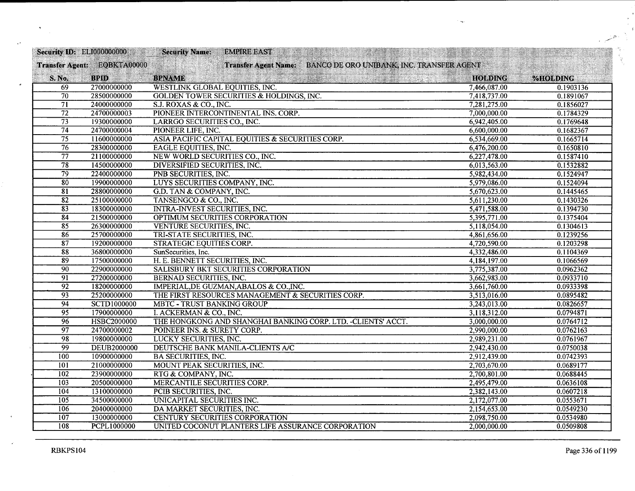| <b>Security ID: ELI000000000</b> |                             | <b>Security Name:</b><br><b>EMPIRE EAST</b>                    |                | states in which will |
|----------------------------------|-----------------------------|----------------------------------------------------------------|----------------|----------------------|
|                                  | Transfer Agent: EQBKTA00000 | Transfer Agent Name: BANCO DE ORO UNIBANK, INC. TRANSFER AGENT |                |                      |
| S. No.                           | <b>BPID</b>                 | <b>BPNAME</b><br>Contact Market Street (1983)                  | <b>HOLDING</b> | %HOLDING             |
| 69                               | 27000000000                 | WESTLINK GLOBAL EQUITIES, INC.                                 | 7,466,087.00   | 0.1903136            |
| 70                               | 28500000000                 | <b>GOLDEN TOWER SECURITIES &amp; HOLDINGS, INC.</b>            | 7,418,737.00   | 0.1891067            |
| $\overline{71}$                  | 24000000000                 | S.J. ROXAS & CO., INC.                                         | 7,281,275.00   | 0.1856027            |
| $\overline{72}$                  | 24700000003                 | PIONEER INTERCONTINENTAL INS. CORP.                            | 7,000,000.00   | 0.1784329            |
| $\overline{73}$                  | 19300000000                 | LARRGO SECURITIES CO., INC.                                    | 6,942,405.00   | 0.1769648            |
| $\overline{74}$                  | 24700000004                 | PIONEER LIFE, INC.                                             | 6,600,000.00   | 0.1682367            |
| $\overline{75}$                  | 11600000000                 | ASIA PACIFIC CAPITAL EQUITIES & SECURITIES CORP.               | 6,534,669.00   | 0.1665714            |
| $\overline{76}$                  | 28300000000                 | <b>EAGLE EQUITIES, INC.</b>                                    | 6,476,200.00   | 0.1650810            |
| $\overline{77}$                  | 21100000000                 | NEW WORLD SECURITIES CO., INC.                                 | 6,227,478.00   | 0.1587410            |
| $\overline{78}$                  | 14500000000                 | <b>DIVERSIFIED SECURITIES, INC.</b>                            | 6,013,563.00   | 0.1532882            |
| $\overline{79}$                  | 22400000000                 | PNB SECURITIES, INC.                                           | 5,982,434.00   | 0.1524947            |
| $\overline{80}$                  | 19900000000                 | LUYS SECURITIES COMPANY, INC.                                  | 5,979,086.00   | 0.1524094            |
| $\overline{81}$                  | 28800000000                 | G.D. TAN & COMPANY, INC.                                       | 5,670,623.00   | 0.1445465            |
| $\overline{82}$                  | 25100000000                 | TANSENGCO & CO., INC.                                          | 5,611,230.00   | 0.1430326            |
| 83                               | 18300000000                 | <b>INTRA-INVEST SECURITIES, INC.</b>                           | 5,471,588.00   | 0.1394730            |
| $\overline{84}$                  | 21500000000                 | OPTIMUM SECURITIES CORPORATION                                 | 5,395,771.00   | 0.1375404            |
| $\overline{85}$                  | 26300000000                 | <b>VENTURE SECURITIES, INC.</b>                                | 5,118,054.00   | 0.1304613            |
| 86                               | 25700000000                 | TRI-STATE SECURITIES, INC.                                     | 4,861,656.00   | 0.1239256            |
| $\overline{87}$                  | 19200000000                 | STRATEGIC EQUITIES CORP.                                       | 4,720,590.00   | 0.1203298            |
| 88                               | 36800000000                 | SunSecurities, Inc.                                            | 4,332,486.00   | 0.1104369            |
| 89                               | 17500000000                 | H. E. BENNETT SECURITIES, INC.                                 | 4,184,197.00   | 0.1066569            |
| $\overline{90}$                  | 22900000000                 | SALISBURY BKT SECURITIES CORPORATION                           | 3,775,387.00   | 0.0962362            |
| $\overline{91}$                  | 27200000000                 | <b>BERNAD SECURITIES, INC.</b>                                 | 3,662,983.00   | 0.0933710            |
| $\overline{92}$                  | 18200000000                 | IMPERIAL, DE GUZMAN, ABALOS & CO., INC.                        | 3,661,760.00   | 0.0933398            |
| 93                               | 25200000000                 | THE FIRST RESOURCES MANAGEMENT & SECURITIES CORP.              | 3,513,016.00   | 0.0895482            |
| $\overline{94}$                  | <b>SCTD1000000</b>          | <b>MBTC - TRUST BANKING GROUP</b>                              | 3,243,013.00   | 0.0826657            |
| 95                               | 17900000000                 | I. ACKERMAN & CO., INC.                                        | 3,118,312.00   | 0.0794871            |
| $\overline{96}$                  | HSBC2000000                 | THE HONGKONG AND SHANGHAI BANKING CORP. LTD. - CLIENTS' ACCT.  | 3,000,000.00   | 0.0764712            |
| $\overline{97}$                  | 24700000002                 | POINEER INS. & SURETY CORP.                                    | 2,990,000.00   | 0.0762163            |
| 98                               | 19800000000                 | LUCKY SECURITIES, INC.                                         | 2,989,231.00   | 0.0761967            |
| $\overline{99}$                  | <b>DEUB2000000</b>          | DEUTSCHE BANK MANILA-CLIENTS A/C                               | 2,942,430.00   | 0.0750038            |
| 100                              | 10900000000                 | <b>BA SECURITIES, INC.</b>                                     | 2,912,439.00   | 0.0742393            |
| 101                              | 21000000000                 | MOUNT PEAK SECURITIES, INC.                                    | 2,703,670.00   | 0.0689177            |
| 102                              | 23900000000                 | RTG & COMPANY, INC.                                            | 2,700,801.00   | 0.0688445            |
| 103                              | 20500000000                 | MERCANTILE SECURITIES CORP.                                    | 2,495,479.00   | 0.0636108            |
| 104                              | 13100000000                 | PCIB SECURITIES, INC.                                          | 2,382,143.00   | 0.0607218            |
| $\overline{105}$                 | 34500000000                 | UNICAPITAL SECURITIES INC.                                     | 2,172,077.00   | 0.0553671            |
| 106                              | 20400000000                 | DA MARKET SECURITIES, INC.                                     | 2,154,653.00   | 0.0549230            |
| $\overline{107}$                 | 13000000000                 | <b>CENTURY SECURITIES CORPORATION</b>                          | 2,098,750.00   | 0.0534980            |
| $\overline{108}$                 | <b>PCPL1000000</b>          | UNITED COCONUT PLANTERS LIFE ASSURANCE CORPORATION             | 2,000,000.00   | 0.0509808            |

 $\mathcal{A}$ 

 $\cdot$ 

 $\vec{q}$ 

्हे<br>पु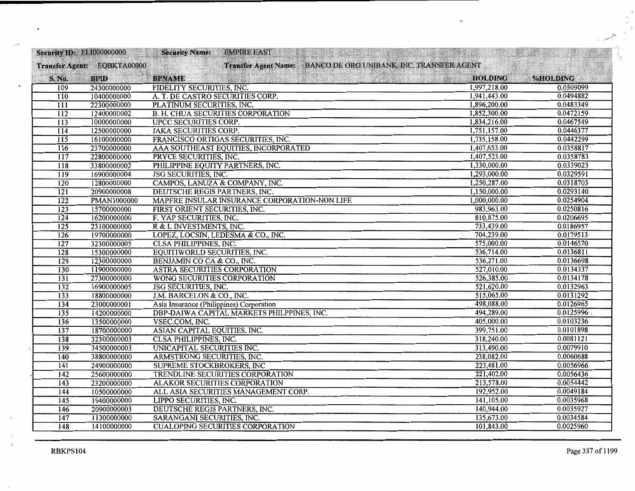| <b>Security ID: ELI000000000</b> |                             | <b>Security Name:</b><br><b>EMPIRE EAST</b><br><b>REPAIRING AND STATE</b> |                |           |
|----------------------------------|-----------------------------|---------------------------------------------------------------------------|----------------|-----------|
|                                  | Transfer Agent: EQBKTA00000 | Transfer Agent Name: BANCO DE ORO UNIBANK, INC. TRANSFER AGENT            |                |           |
| S. No.                           | <b>BPID</b>                 | <b>BPNAME</b>                                                             | <b>HOLDING</b> | %HOLDING  |
| 109                              | 24300000000                 | FIDELITY SECURITIES, INC.                                                 | 1,997,218.00   | 0.0509099 |
| $\overline{110}$                 | 10400000000                 | A. T. DE CASTRO SECURITIES CORP.                                          | 1,941,443.00   | 0.0494882 |
| $\overline{111}$                 | 22300000000                 | PLATINUM SECURITIES, INC.                                                 | 1,896,200.00   | 0.0483349 |
| $\overline{112}$                 | 12400000002                 | <b>B. H. CHUA SECURITIES CORPORATION</b>                                  | 1,852,300.00   | 0.0472159 |
| 113                              | 10000000000                 | UPCC SECURITIES CORP.                                                     | 1,834,216.00   | 0.0467549 |
| $\overline{114}$                 | 12500000000                 | <b>JAKA SECURITIES CORP.</b>                                              | 1,751,157.00   | 0.0446377 |
| $\overline{115}$                 | 16100000000                 | FRANCISCO ORTIGAS SECURITIES, INC.                                        | 1,735,158.00   | 0.0442299 |
| $\overline{116}$                 | 23700000000                 | AAA SOUTHEAST EQUITIES, INCORPORATED                                      | 1,407,653.00   | 0.0358817 |
| 117                              | 22800000000                 | PRYCE SECURITIES, INC.                                                    | 1,407,523.00   | 0.0358783 |
| $\overline{118}$                 | 33800000002                 | PHILIPPINE EQUITY PARTNERS, INC.                                          | 1,330,000.00   | 0.0339023 |
| 119                              | 16900000004                 | <b>JSG SECURITIES, INC.</b>                                               | 1,293,000.00   | 0.0329591 |
| 120                              | 12800000000                 | CAMPOS, LANUZA & COMPANY, INC.                                            | 1,250,287.00   | 0.0318703 |
| 121                              | 20900000008                 | DEUTSCHE REGIS PARTNERS, INC.                                             | 1,150,000.00   | 0.0293140 |
| $\overline{122}$                 | <b>PMAN1000000</b>          | MAPFRE INSULAR INSURANCE CORPORATION-NON LIFE                             | 1,000,000.00   | 0.0254904 |
| $\overline{123}$                 | 15700000000                 | FIRST ORIENT SECURITIES, INC.                                             | 983,963.00     | 0.0250816 |
| 124                              | 16200000000                 | F. YAP SECURITIES, INC.                                                   | 810,875.00     | 0.0206695 |
| 125                              | 23100000000                 | R & L INVESTMENTS, INC.                                                   | 733,439.00     | 0.0186957 |
| 126                              | 19700000000                 | LOPEZ, LOCSIN, LEDESMA & CO., INC.                                        | 704,239.00     | 0.0179513 |
| 127                              | 32300000005                 | <b>CLSA PHILIPPINES, INC.</b>                                             | 575,000.00     | 0.0146570 |
| $\overline{128}$                 | 15300000000                 | EQUITIWORLD SECURITIES, INC.                                              | 536,714.00     | 0.0136811 |
| $\overline{129}$                 | 12300000000                 | BENJAMIN CO CA & CO., INC.                                                | 536,271.00     | 0.0136698 |
| 130                              | 11900000000                 | ASTRA SECURITIES CORPORATION                                              | 527,010.00     | 0.0134337 |
| $\overline{131}$                 | 27300000000                 | WONG SECURITIES CORPORATION                                               | 526,385.00     | 0.0134178 |
| $\overline{132}$                 | 16900000005                 | <b>JSG SECURITIES, INC.</b>                                               | 521,620.00     | 0.0132963 |
| $\overline{133}$                 | 18800000000                 | J.M. BARCELON & CO., INC.                                                 | 515,065.00     | 0.0131292 |
| 134                              | 23000000001                 | Asia Insurance (Philippines) Corporation                                  | 498,088.00     | 0.0126965 |
| 135                              | 14200000000                 | DBP-DAIWA CAPITAL MARKETS PHILPPINES, INC.                                | 494,289.00     | 0.0125996 |
| 136                              | 13500000000                 | VSEC.COM, INC.                                                            | 405,000.00     | 0.0103236 |
| 137                              | 18700000000                 | ASIAN CAPITAL EQUITIES, INC.                                              | 399,751.00     | 0.0101898 |
| $\overline{138}$                 | 32300000003                 | <b>CLSA PHILIPPINES, INC.</b>                                             | 318,240.00     | 0.0081121 |
| 139                              | 34500000003                 | UNICAPITAL SECURITIES INC.                                                | 313,490.00     | 0.0079910 |
| 140                              | 38800000000                 | ARMSTRONG SECURITIES, INC.                                                | 238,082.00     | 0.0060688 |
| $\overline{141}$                 | 24900000000                 | SUPREME STOCKBROKERS, INC                                                 | 223,481.00     | 0.0056966 |
| 142                              | 25600000000                 | TRENDLINE SECURITIES CORPORATION                                          | 221,402.00     | 0.0056436 |
| 143                              | 23200000000                 | <b>ALAKOR SECURITIES CORPORATION</b>                                      | 213,578.00     | 0.0054442 |
| $\overline{144}$                 | 10500000000                 | ALL ASIA SECURITIES MANAGEMENT CORP.                                      | 192,952.00     | 0.0049184 |
| 145                              | 19400000000                 | <b>LIPPO SECURITIES, INC.</b>                                             | 141,105.00     | 0.0035968 |
| 146                              | 20900000003                 | DEUTSCHE REGIS PARTNERS, INC.                                             | 140,944.00     | 0.0035927 |
| 147                              | 11300000000                 | SARANGANI SECURITIES, INC.                                                | 135,673.00     | 0.0034584 |
| 148                              | 14100000000                 | <b>CUALOPING SECURITIES CORPORATION</b>                                   | 101,843.00     | 0.0025960 |

 $\sim$   $\sim$ 

 $\epsilon_{\rm e}$  $\vec{z}$ 

 $\frac{M}{\chi_{\rm{eff}}^2}$